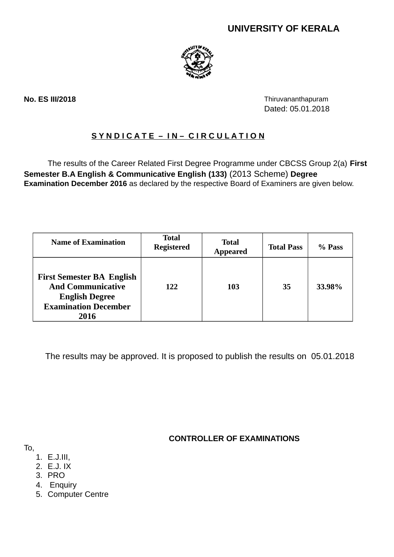# **UNIVERSITY OF KERALA**



**No. ES III/2018** Thiruvananthapuram Dated: 05.01.2018

## **S Y N D I C A T E – I N – C I R C U L A T I O N**

The results of the Career Related First Degree Programme under CBCSS Group 2(a) **First Semester B.A English & Communicative English (133)** (2013 Scheme) **Degree Examination December 2016** as declared by the respective Board of Examiners are given below.

| <b>Name of Examination</b>                                                                                                   | <b>Total</b><br><b>Registered</b> | <b>Total</b><br><b>Appeared</b> | <b>Total Pass</b> | % Pass |
|------------------------------------------------------------------------------------------------------------------------------|-----------------------------------|---------------------------------|-------------------|--------|
| <b>First Semester BA English</b><br><b>And Communicative</b><br><b>English Degree</b><br><b>Examination December</b><br>2016 | 122                               | 103                             | 35                | 33.98% |

The results may be approved. It is proposed to publish the results on 05.01.2018

**CONTROLLER OF EXAMINATIONS**

- To,
	- 1. E.J.III,
	- 2. E.J. IX
	- 3. PRO
	- 4. Enquiry
	- 5. Computer Centre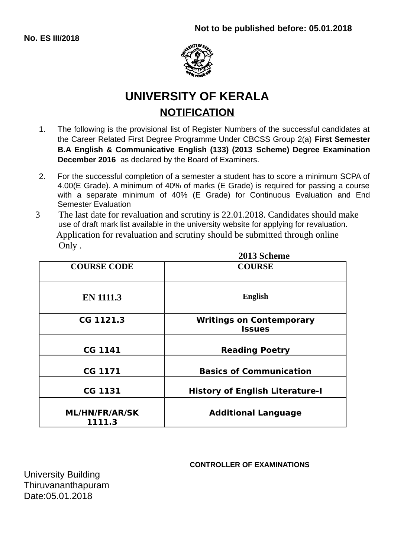**No. ES III/2018**



# **UNIVERSITY OF KERALA NOTIFICATION**

- 1. The following is the provisional list of Register Numbers of the successful candidates at the Career Related First Degree Programme Under CBCSS Group 2(a) **First Semester B.A English & Communicative English (133) (2013 Scheme) Degree Examination December 2016** as declared by the Board of Examiners.
- 2. For the successful completion of a semester a student has to score a minimum SCPA of 4.00(E Grade). A minimum of 40% of marks (E Grade) is required for passing a course with a separate minimum of 40% (E Grade) for Continuous Evaluation and End Semester Evaluation
- 3 The last date for revaluation and scrutiny is 22.01.2018. Candidates should make use of draft mark list available in the university website for applying for revaluation. Application for revaluation and scrutiny should be submitted through online Only .

|                                 | 2013 Scheme                                      |  |  |
|---------------------------------|--------------------------------------------------|--|--|
| <b>COURSE CODE</b>              | <b>COURSE</b>                                    |  |  |
| <b>EN 1111.3</b>                | <b>English</b>                                   |  |  |
| CG 1121.3                       | <b>Writings on Contemporary</b><br><b>Issues</b> |  |  |
| <b>CG 1141</b>                  | <b>Reading Poetry</b>                            |  |  |
| <b>CG 1171</b>                  | <b>Basics of Communication</b>                   |  |  |
| <b>CG 1131</b>                  | <b>History of English Literature-I</b>           |  |  |
| <b>ML/HN/FR/AR/SK</b><br>1111.3 | <b>Additional Language</b>                       |  |  |

## **CONTROLLER OF EXAMINATIONS**

**2013 Scheme**

University Building Thiruvananthapuram Date:05.01.2018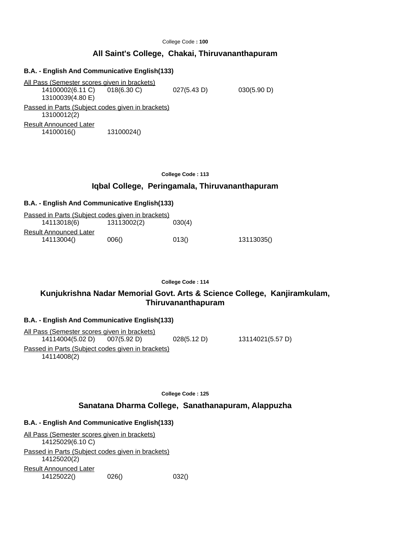## **All Saint's College, Chakai, Thiruvananthapuram**

## **B.A. - English And Communicative English(133)** All Pass (Semester scores given in brackets) 14100002(6.11 C) 018(6.30 C) 027(5.43 D) 030(5.90 D) 13100039(4.80 E) Passed in Parts (Subject codes given in brackets) 13100012(2) Result Announced Later 14100016() 13100024()

#### **College Code : 113**

### **Iqbal College, Peringamala, Thiruvananthapuram**

#### **B.A. - English And Communicative English(133)**

| Passed in Parts (Subject codes given in brackets) |             |        |            |
|---------------------------------------------------|-------------|--------|------------|
| 14113018(6)                                       | 13113002(2) | 030(4) |            |
| <b>Result Announced Later</b>                     |             |        |            |
| 14113004()                                        | 006()       | 013()  | 13113035() |

#### **College Code : 114**

## **Kunjukrishna Nadar Memorial Govt. Arts & Science College, Kanjiramkulam, Thiruvananthapuram**

#### **B.A. - English And Communicative English(133)**

All Pass (Semester scores given in brackets) 14114004(5.02 D) 007(5.92 D) 028(5.12 D) 13114021(5.57 D) Passed in Parts (Subject codes given in brackets) 14114008(2)

**College Code : 125**

#### **Sanatana Dharma College, Sanathanapuram, Alappuzha**

## **B.A. - English And Communicative English(133)**

| All Pass (Semester scores given in brackets)                     |       |       |
|------------------------------------------------------------------|-------|-------|
| 14125029(6.10 C)                                                 |       |       |
| Passed in Parts (Subject codes given in brackets)<br>14125020(2) |       |       |
| <b>Result Announced Later</b>                                    |       |       |
| 14125022()                                                       | 026() | 032() |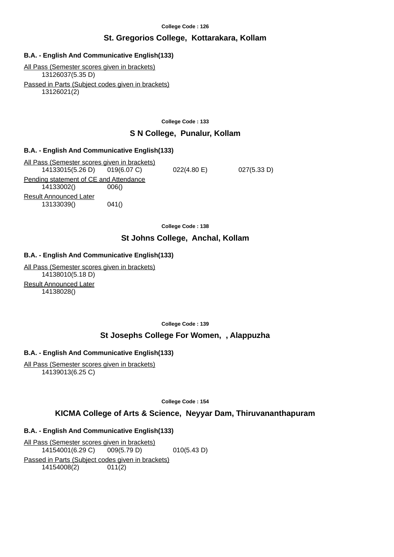## **St. Gregorios College, Kottarakara, Kollam**

## **B.A. - English And Communicative English(133)**

All Pass (Semester scores given in brackets) 13126037(5.35 D) Passed in Parts (Subject codes given in brackets) 13126021(2)

**College Code : 133**

## **S N College, Punalur, Kollam**

#### **B.A. - English And Communicative English(133)**

All Pass (Semester scores given in brackets) 14133015(5.26 D) 019(6.07 C) 022(4.80 E) 027(5.33 D) Pending statement of CE and Attendance 14133002() 006() Result Announced Later 13133039() 041()

**College Code : 138**

## **St Johns College, Anchal, Kollam**

## **B.A. - English And Communicative English(133)**

All Pass (Semester scores given in brackets) 14138010(5.18 D) Result Announced Later 14138028()

**College Code : 139**

## **St Josephs College For Women, , Alappuzha**

## **B.A. - English And Communicative English(133)**

All Pass (Semester scores given in brackets) 14139013(6.25 C)

**College Code : 154**

## **KICMA College of Arts & Science, Neyyar Dam, Thiruvananthapuram**

## **B.A. - English And Communicative English(133)**

All Pass (Semester scores given in brackets) 14154001(6.29 C) 009(5.79 D) 010(5.43 D) Passed in Parts (Subject codes given in brackets) 14154008(2) 011(2)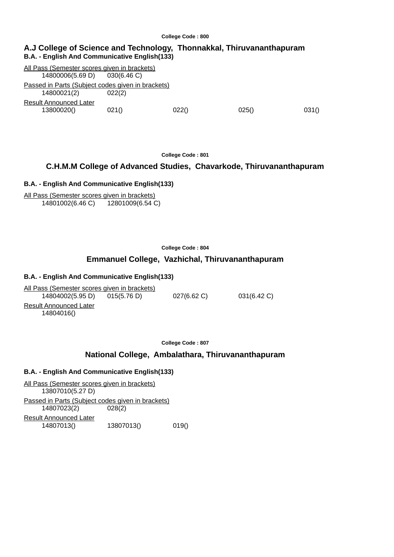#### **A.J College of Science and Technology, Thonnakkal, Thiruvananthapuram B.A. - English And Communicative English(133)**

All Pass (Semester scores given in brackets) 14800006(5.69 D) 030(6.46 C) Passed in Parts (Subject codes given in brackets) 14800021(2) 022(2) Result Announced Later 13800020() 021() 022() 025() 031()

**College Code : 801**

## **C.H.M.M College of Advanced Studies, Chavarkode, Thiruvananthapuram**

#### **B.A. - English And Communicative English(133)**

All Pass (Semester scores given in brackets) 14801002(6.46 C) 12801009(6.54 C)

**College Code : 804**

## **Emmanuel College, Vazhichal, Thiruvananthapuram**

#### **B.A. - English And Communicative English(133)**

All Pass (Semester scores given in brackets) 14804002(5.95 D) 015(5.76 D) 027(6.62 C) 031(6.42 C) Result Announced Later 14804016()

**College Code : 807**

#### **National College, Ambalathara, Thiruvananthapuram**

## **B.A. - English And Communicative English(133)**

All Pass (Semester scores given in brackets) 13807010(5.27 D) Passed in Parts (Subject codes given in brackets) 14807023(2) 028(2) Result Announced Later 14807013() 13807013() 019()